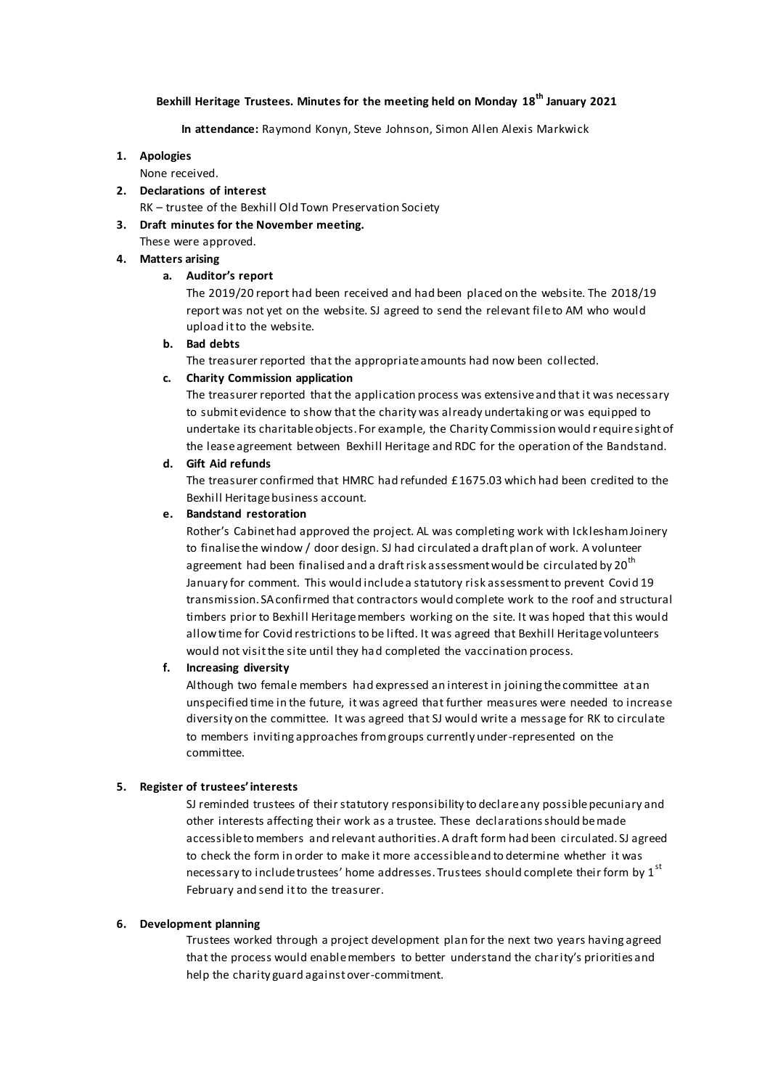# **Bexhill Heritage Trustees. Minutes for the meeting held on Monday 18th January 2021**

#### **In attendance:** Raymond Konyn, Steve Johnson, Simon Allen Alexis Markwick

#### **1. Apologies**

None received.

**2. Declarations of interest**

RK – trustee of the Bexhill Old Town Preservation Society

# **3. Draft minutes for the November meeting.**

These were approved.

# **4. Matters arising**

# **a. Auditor's report**

The 2019/20 report had been received and had been placed on the website. The 2018/19 report was not yet on the website. SJ agreed to send the relevant file to AM who would upload it to the website.

# **b. Bad debts**

The treasurer reported that the appropriate amounts had now been collected.

# **c. Charity Commission application**

The treasurer reported that the application process was extensive and that it was necessary to submit evidence to show that the charity was already undertaking or was equipped to undertake its charitable objects. For example, the Charity Commission would require sight of the lease agreement between Bexhill Heritage and RDC for the operation of the Bandstand.

# **d. Gift Aid refunds**

The treasurer confirmed that HMRC had refunded £1675.03 which had been credited to the Bexhill Heritage business account.

# **e. Bandstand restoration**

Rother's Cabinet had approved the project. AL was completing work with Icklesham Joinery to finalise the window / door design. SJ had circulated a draft plan of work. A volunteer agreement had been finalised and a draft risk assessment would be circulated by 20<sup>th</sup> January for comment. This would include a statutory risk assessment to prevent Covid 19 transmission. SA confirmed that contractors would complete work to the roof and structural timbers prior to Bexhill Heritage members working on the site. It was hoped that this would allow time for Covid restrictions to be lifted. It was agreed that Bexhill Heritage volunteers would not visit the site until they had completed the vaccination process.

# **f. Increasing diversity**

Although two female members had expressed an interest in joining the committee at an unspecified time in the future, it was agreed that further measures were needed to increase diversity on the committee. It was agreed that SJ would write a message for RK to circulate to members inviting approaches from groups currently under-represented on the committee.

# **5. Register of trustees' interests**

SJ reminded trustees of their statutory responsibility to declare any possible pecuniary and other interests affecting their work as a trustee. These declarations should be made accessible to members and relevant authorities. A draft form had been circulated. SJ agreed to check the form in order to make it more accessible and to determine whether it was necessary to include trustees' home addresses. Trustees should complete their form by 1<sup>st</sup> February and send it to the treasurer.

# **6. Development planning**

Trustees worked through a project development plan for the next two years having agreed that the process would enable members to better understand the charity's priorities and help the charity guard against over-commitment.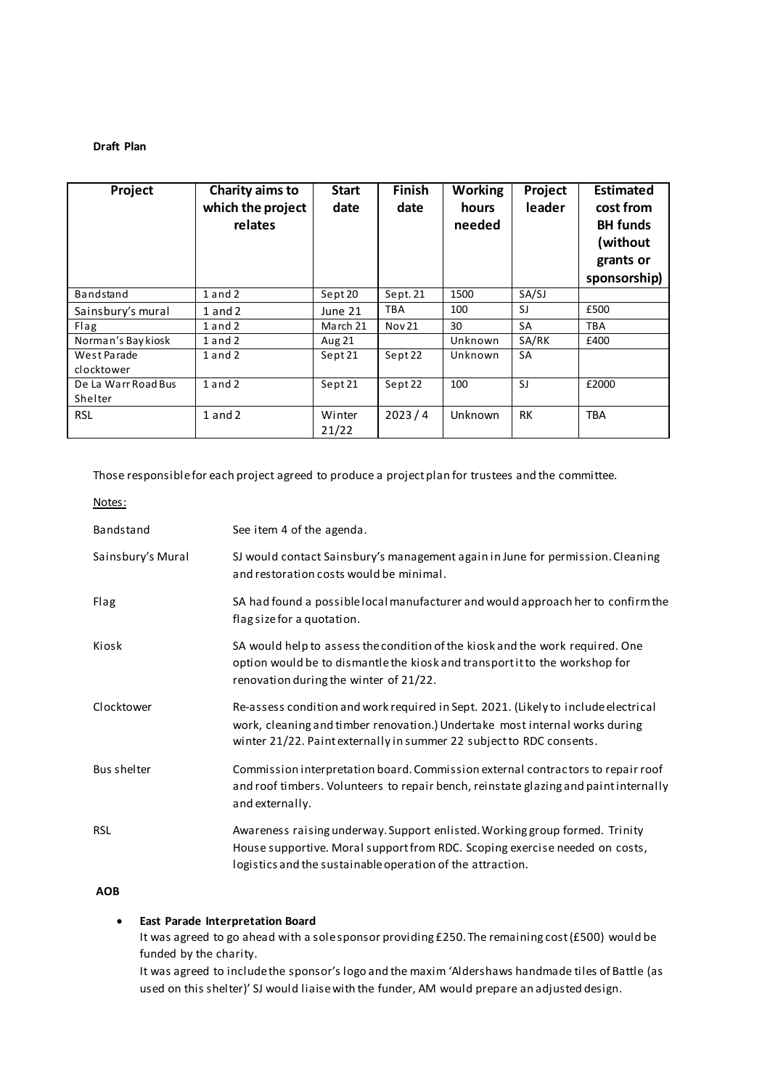#### **Draft Plan**

| Project                        | Charity aims to<br>which the project<br>relates | <b>Start</b><br>date | <b>Finish</b><br>date | <b>Working</b><br>hours<br>needed | Project<br>leader | <b>Estimated</b><br>cost from<br><b>BH</b> funds<br>(without<br>grants or<br>sponsorship) |
|--------------------------------|-------------------------------------------------|----------------------|-----------------------|-----------------------------------|-------------------|-------------------------------------------------------------------------------------------|
| Bandstand                      | $1$ and $2$                                     | Sept 20              | Sept. 21              | 1500                              | SA/SJ             |                                                                                           |
| Sainsbury's mural              | $1$ and $2$                                     | June 21              | <b>TBA</b>            | 100                               | SJ                | £500                                                                                      |
| Flag                           | $1$ and $2$                                     | March 21             | Nov 21                | 30                                | <b>SA</b>         | TBA                                                                                       |
| Norman's Bay kiosk             | $1$ and $2$                                     | Aug 21               |                       | Unknown                           | SA/RK             | £400                                                                                      |
| West Parade<br>clocktower      | $1$ and $2$                                     | Sept 21              | Sept 22               | Unknown                           | <b>SA</b>         |                                                                                           |
| De La Warr Road Bus<br>Shelter | $1$ and $2$                                     | Sept 21              | Sept 22               | 100                               | S.                | £2000                                                                                     |
| <b>RSL</b>                     | $1$ and $2$                                     | Winter<br>21/22      | 2023/4                | Unknown                           | RK                | <b>TBA</b>                                                                                |

Those responsible for each project agreed to produce a project plan for trustees and the committee.

Notes:

| Bandstand          | See item 4 of the agenda.                                                                                                                                                                                                                 |  |
|--------------------|-------------------------------------------------------------------------------------------------------------------------------------------------------------------------------------------------------------------------------------------|--|
| Sainsbury's Mural  | SJ would contact Sainsbury's management again in June for permission. Cleaning<br>and restoration costs would be minimal.                                                                                                                 |  |
| Flag               | SA had found a possible local manufacturer and would approach her to confirm the<br>flag size for a quotation.                                                                                                                            |  |
| Kiosk              | SA would help to assess the condition of the kiosk and the work required. One<br>option would be to dismantle the kiosk and transport it to the workshop for<br>renovation during the winter of 21/22.                                    |  |
| Clocktower         | Re-assess condition and work required in Sept. 2021. (Likely to include electrical<br>work, cleaning and timber renovation.) Undertake most internal works during<br>winter 21/22. Paint externally in summer 22 subject to RDC consents. |  |
| <b>Bus shelter</b> | Commission interpretation board. Commission external contractors to repair roof<br>and roof timbers. Volunteers to repair bench, reinstate glazing and paint internally<br>and externally.                                                |  |
| <b>RSL</b>         | Awareness raising underway. Support enlisted. Working group formed. Trinity<br>House supportive. Moral support from RDC. Scoping exercise needed on costs,<br>logistics and the sustainable operation of the attraction.                  |  |

**AOB**

# **East Parade Interpretation Board**

It was agreed to go ahead with a sole sponsor providing £250. The remaining cost (£500) would be funded by the charity.

It was agreed to include the sponsor's logo and the maxim 'Aldershaws handmade tiles of Battle (as used on this shelter)' SJ would liaise with the funder, AM would prepare an adjusted design.